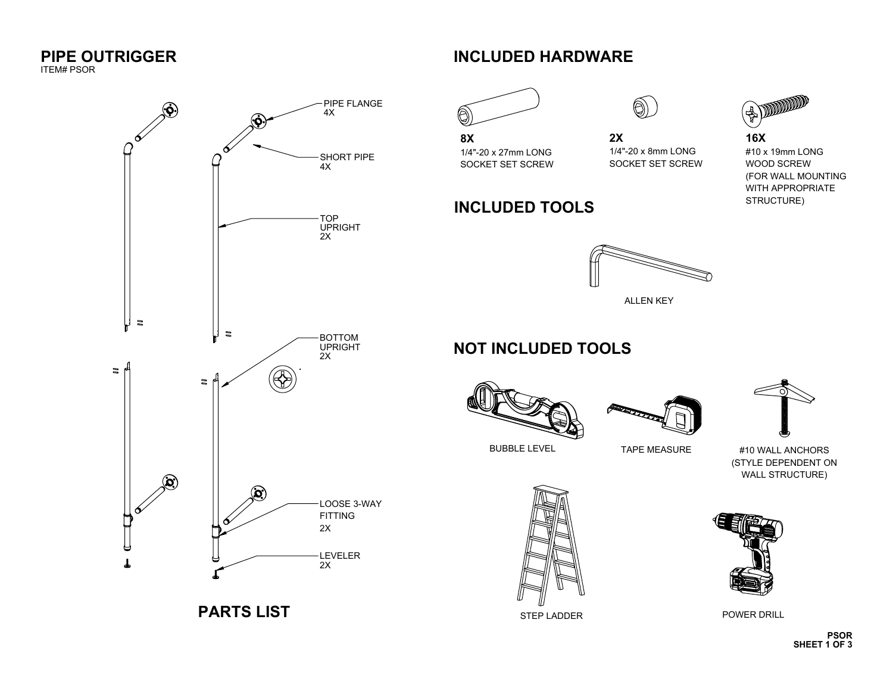# **PIPE OUTRIGGER** ITEM# PSOR



**PARTS LIST**

## **INCLUDED HARDWARE**



1/4"-20 x 27mm LONG SOCKET SET SCREW

**INCLUDED TOOLS**

**8X**



**2X**

#### 1/4"-20 x 8mm LONG SOCKET SET SCREW

## **EDITION 16X**

#10 x 19mm LONG WOOD SCREW (FOR WALL MOUNTING WITH APPROPRIATE STRUCTURE)



ALLEN KEY

## **NOT INCLUDED TOOLS**







BUBBLE LEVEL TAPE MEASURE

#10 WALL ANCHORS (STYLE DEPENDENT ON WALL STRUCTURE)





POWER DRILL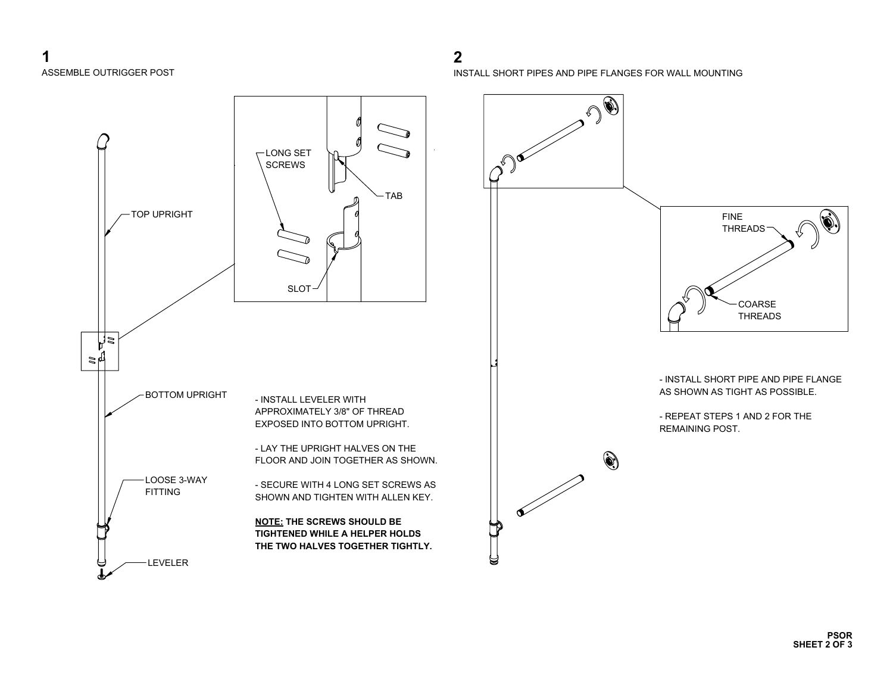

**2**

INSTALL SHORT PIPES AND PIPE FLANGES FOR WALL MOUNTING